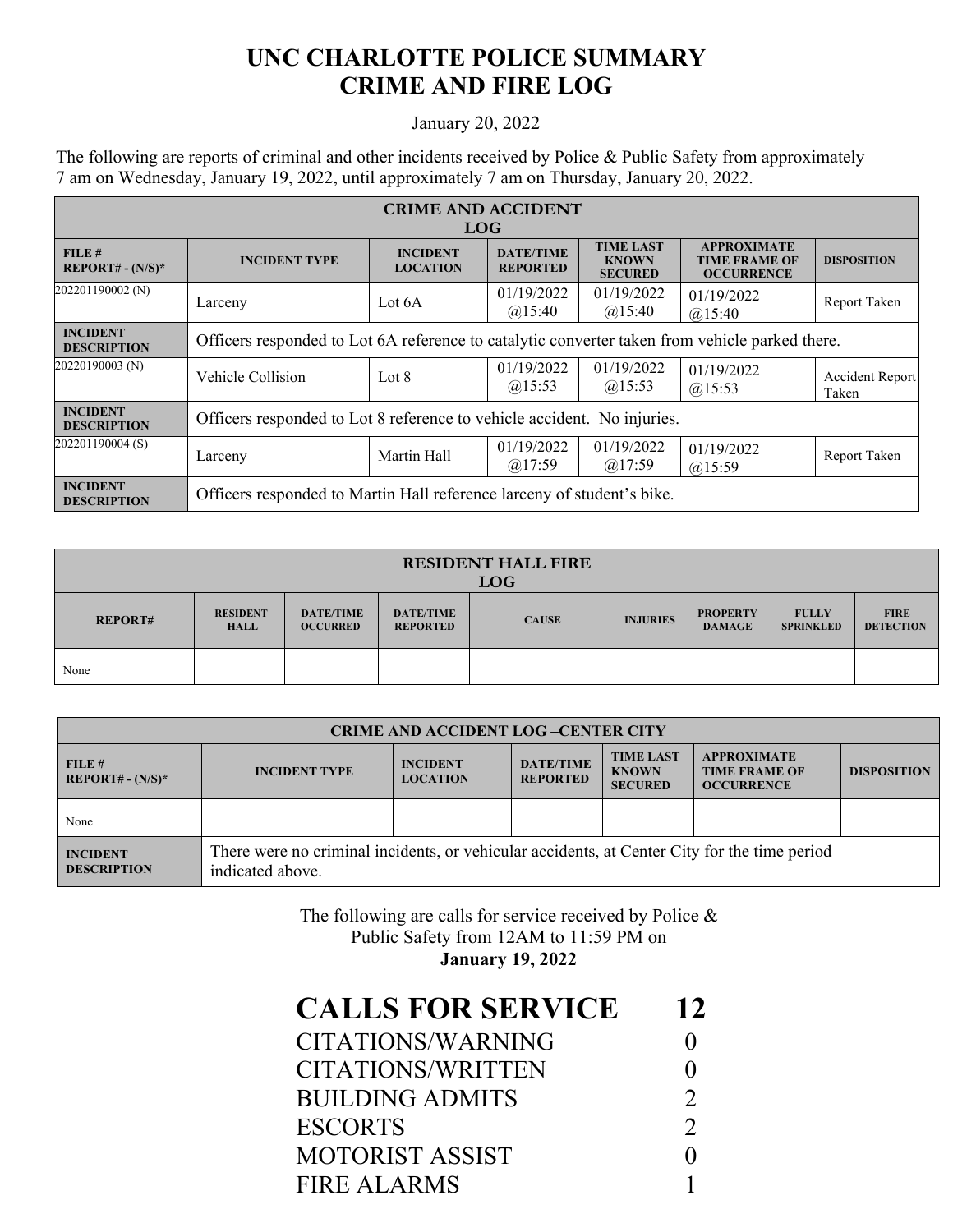## **UNC CHARLOTTE POLICE SUMMARY CRIME AND FIRE LOG**

## January 20, 2022

The following are reports of criminal and other incidents received by Police & Public Safety from approximately 7 am on Wednesday, January 19, 2022, until approximately 7 am on Thursday, January 20, 2022.

| <b>CRIME AND ACCIDENT</b><br>LOG <sub>1</sub> |                                                                                                |                                    |                                     |                                                    |                                                                 |                                 |  |
|-----------------------------------------------|------------------------------------------------------------------------------------------------|------------------------------------|-------------------------------------|----------------------------------------------------|-----------------------------------------------------------------|---------------------------------|--|
| FILE#<br>$REPORT# - (N/S)*$                   | <b>INCIDENT TYPE</b>                                                                           | <b>INCIDENT</b><br><b>LOCATION</b> | <b>DATE/TIME</b><br><b>REPORTED</b> | <b>TIME LAST</b><br><b>KNOWN</b><br><b>SECURED</b> | <b>APPROXIMATE</b><br><b>TIME FRAME OF</b><br><b>OCCURRENCE</b> | <b>DISPOSITION</b>              |  |
| 202201190002 (N)                              | Larceny                                                                                        | Lot 6A                             | 01/19/2022<br>@15:40                | 01/19/2022<br>$(a)$ 15:40                          | 01/19/2022<br>$(a)$ 15:40                                       | Report Taken                    |  |
| <b>INCIDENT</b><br><b>DESCRIPTION</b>         | Officers responded to Lot 6A reference to catalytic converter taken from vehicle parked there. |                                    |                                     |                                                    |                                                                 |                                 |  |
| 20220190003 (N)                               | Vehicle Collision                                                                              | Lot 8                              | 01/19/2022<br>$(a)$ 15:53           | 01/19/2022<br>@15:53                               | 01/19/2022<br>$(a)$ 15:53                                       | <b>Accident Report</b><br>Taken |  |
| <b>INCIDENT</b><br><b>DESCRIPTION</b>         | Officers responded to Lot 8 reference to vehicle accident. No injuries.                        |                                    |                                     |                                                    |                                                                 |                                 |  |
| 202201190004 (S)                              | Larceny                                                                                        | Martin Hall                        | 01/19/2022<br>$(a)$ 17:59           | 01/19/2022<br>$(a)$ 17:59                          | 01/19/2022<br>$(a)$ 15:59                                       | Report Taken                    |  |
| <b>INCIDENT</b><br><b>DESCRIPTION</b>         | Officers responded to Martin Hall reference larceny of student's bike.                         |                                    |                                     |                                                    |                                                                 |                                 |  |

| <b>RESIDENT HALL FIRE</b><br><b>LOG</b> |                                |                                     |                                     |              |                 |                                  |                                  |                                 |
|-----------------------------------------|--------------------------------|-------------------------------------|-------------------------------------|--------------|-----------------|----------------------------------|----------------------------------|---------------------------------|
| <b>REPORT#</b>                          | <b>RESIDENT</b><br><b>HALL</b> | <b>DATE/TIME</b><br><b>OCCURRED</b> | <b>DATE/TIME</b><br><b>REPORTED</b> | <b>CAUSE</b> | <b>INJURIES</b> | <b>PROPERTY</b><br><b>DAMAGE</b> | <b>FULLY</b><br><b>SPRINKLED</b> | <b>FIRE</b><br><b>DETECTION</b> |
| None                                    |                                |                                     |                                     |              |                 |                                  |                                  |                                 |

| <b>CRIME AND ACCIDENT LOG-CENTER CITY</b> |                                                                                                                  |                                    |                                     |                                                    |                                                                 |                    |  |
|-------------------------------------------|------------------------------------------------------------------------------------------------------------------|------------------------------------|-------------------------------------|----------------------------------------------------|-----------------------------------------------------------------|--------------------|--|
| FILE #<br>$REPORT# - (N/S)*$              | <b>INCIDENT TYPE</b>                                                                                             | <b>INCIDENT</b><br><b>LOCATION</b> | <b>DATE/TIME</b><br><b>REPORTED</b> | <b>TIME LAST</b><br><b>KNOWN</b><br><b>SECURED</b> | <b>APPROXIMATE</b><br><b>TIME FRAME OF</b><br><b>OCCURRENCE</b> | <b>DISPOSITION</b> |  |
| None                                      |                                                                                                                  |                                    |                                     |                                                    |                                                                 |                    |  |
| <b>INCIDENT</b><br><b>DESCRIPTION</b>     | There were no criminal incidents, or vehicular accidents, at Center City for the time period<br>indicated above. |                                    |                                     |                                                    |                                                                 |                    |  |

The following are calls for service received by Police & Public Safety from 12AM to 11:59 PM on **January 19, 2022**

| 12            |
|---------------|
|               |
|               |
| $\mathcal{D}$ |
| $\mathcal{D}$ |
|               |
|               |
|               |